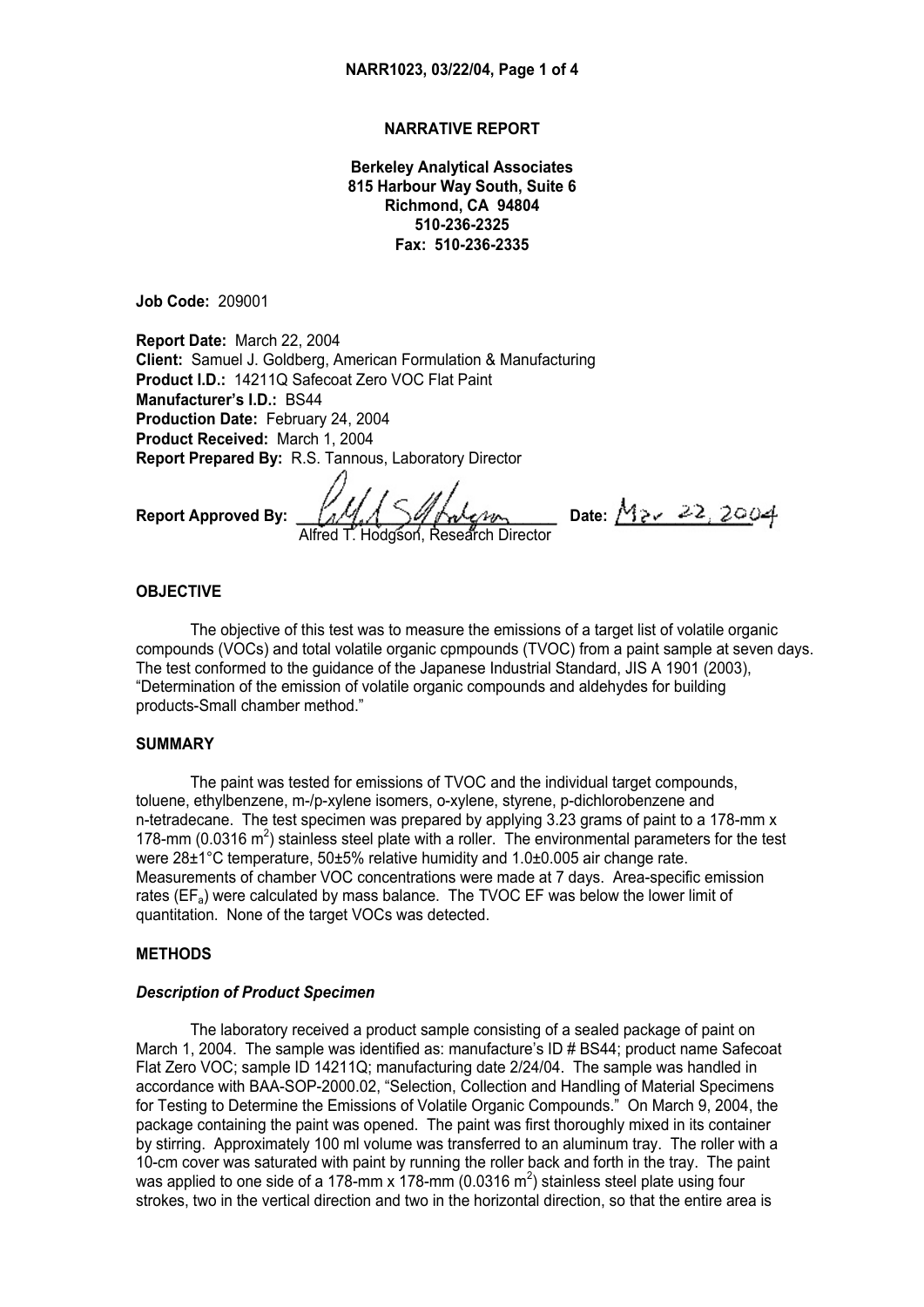# **NARRATIVE REPORT**

**Berkeley Analytical Associates 815 Harbour Way South, Suite 6 Richmond, CA 94804 510-236-2325 Fax: 510-236-2335** 

**Job Code:** 209001

**Report Date:** March 22, 2004 **Client:** Samuel J. Goldberg, American Formulation & Manufacturing **Product I.D.:** 14211Q Safecoat Zero VOC Flat Paint **Manufacturer's I.D.:** BS44 **Production Date:** February 24, 2004 **Product Received:** March 1, 2004 **Report Prepared By:** R.S. Tannous, Laboratory Director

Report Approved By:  $\frac{1}{4}$   $\frac{1}{4}$   $\frac{1}{8}$   $\frac{1}{4}$   $\frac{1}{8}$   $\frac{1}{4}$   $\frac{1}{8}$   $\frac{1}{8}$   $\frac{22}{3004}$ Hodgson, Research Director

### **OBJECTIVE**

 The objective of this test was to measure the emissions of a target list of volatile organic compounds (VOCs) and total volatile organic cpmpounds (TVOC) from a paint sample at seven days. The test conformed to the guidance of the Japanese Industrial Standard, JIS A 1901 (2003), "Determination of the emission of volatile organic compounds and aldehydes for building products-Small chamber method."

# **SUMMARY**

 The paint was tested for emissions of TVOC and the individual target compounds, toluene, ethylbenzene, m-/p-xylene isomers, o-xylene, styrene, p-dichlorobenzene and n-tetradecane. The test specimen was prepared by applying 3.23 grams of paint to a 178-mm x 178-mm (0.0316  $m^2$ ) stainless steel plate with a roller. The environmental parameters for the test were 28±1°C temperature, 50±5% relative humidity and 1.0±0.005 air change rate. Measurements of chamber VOC concentrations were made at 7 days. Area-specific emission rates ( $EF_a$ ) were calculated by mass balance. The TVOC EF was below the lower limit of quantitation. None of the target VOCs was detected.

# **METHODS**

## *Description of Product Specimen*

 The laboratory received a product sample consisting of a sealed package of paint on March 1, 2004. The sample was identified as: manufacture's ID # BS44; product name Safecoat Flat Zero VOC; sample ID 14211Q; manufacturing date 2/24/04. The sample was handled in accordance with BAA-SOP-2000.02, "Selection, Collection and Handling of Material Specimens for Testing to Determine the Emissions of Volatile Organic Compounds." On March 9, 2004, the package containing the paint was opened. The paint was first thoroughly mixed in its container by stirring. Approximately 100 ml volume was transferred to an aluminum tray. The roller with a 10-cm cover was saturated with paint by running the roller back and forth in the tray. The paint was applied to one side of a 178-mm x 178-mm (0.0316 m<sup>2</sup>) stainless steel plate using four strokes, two in the vertical direction and two in the horizontal direction, so that the entire area is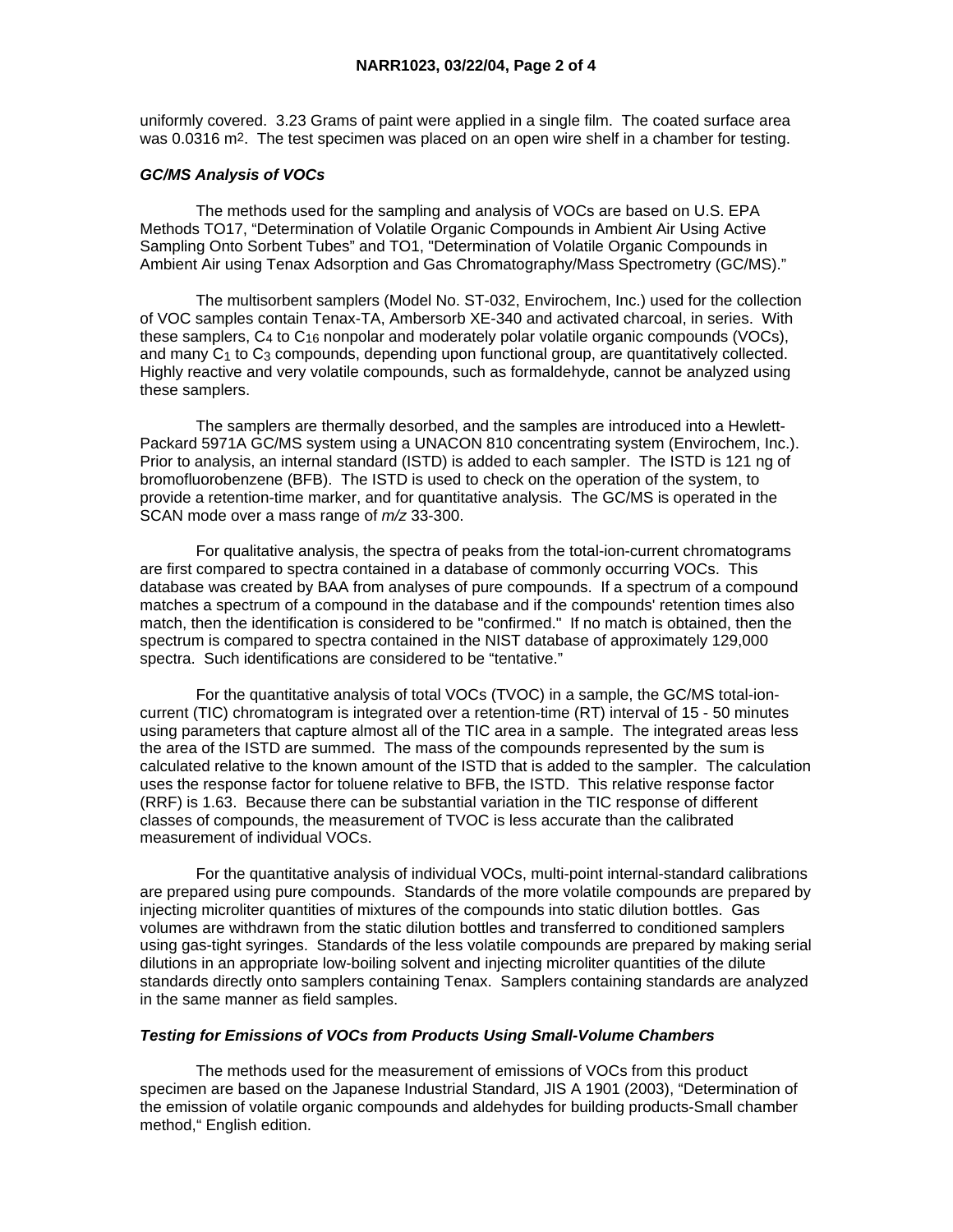uniformly covered. 3.23 Grams of paint were applied in a single film. The coated surface area was 0.0316 m2. The test specimen was placed on an open wire shelf in a chamber for testing.

## *GC/MS Analysis of VOCs*

 The methods used for the sampling and analysis of VOCs are based on U.S. EPA Methods TO17, "Determination of Volatile Organic Compounds in Ambient Air Using Active Sampling Onto Sorbent Tubes" and TO1, "Determination of Volatile Organic Compounds in Ambient Air using Tenax Adsorption and Gas Chromatography/Mass Spectrometry (GC/MS)."

 The multisorbent samplers (Model No. ST-032, Envirochem, Inc.) used for the collection of VOC samples contain Tenax-TA, Ambersorb XE-340 and activated charcoal, in series. With these samplers,  $C_4$  to  $C_{16}$  nonpolar and moderately polar volatile organic compounds (VOCs), and many  $C_1$  to  $C_3$  compounds, depending upon functional group, are quantitatively collected. Highly reactive and very volatile compounds, such as formaldehyde, cannot be analyzed using these samplers.

 The samplers are thermally desorbed, and the samples are introduced into a Hewlett-Packard 5971A GC/MS system using a UNACON 810 concentrating system (Envirochem, Inc.). Prior to analysis, an internal standard (ISTD) is added to each sampler. The ISTD is 121 ng of bromofluorobenzene (BFB). The ISTD is used to check on the operation of the system, to provide a retention-time marker, and for quantitative analysis. The GC/MS is operated in the SCAN mode over a mass range of *m/z* 33-300.

 For qualitative analysis, the spectra of peaks from the total-ion-current chromatograms are first compared to spectra contained in a database of commonly occurring VOCs. This database was created by BAA from analyses of pure compounds. If a spectrum of a compound matches a spectrum of a compound in the database and if the compounds' retention times also match, then the identification is considered to be "confirmed." If no match is obtained, then the spectrum is compared to spectra contained in the NIST database of approximately 129,000 spectra. Such identifications are considered to be "tentative."

 For the quantitative analysis of total VOCs (TVOC) in a sample, the GC/MS total-ioncurrent (TIC) chromatogram is integrated over a retention-time (RT) interval of 15 - 50 minutes using parameters that capture almost all of the TIC area in a sample. The integrated areas less the area of the ISTD are summed. The mass of the compounds represented by the sum is calculated relative to the known amount of the ISTD that is added to the sampler. The calculation uses the response factor for toluene relative to BFB, the ISTD. This relative response factor (RRF) is 1.63. Because there can be substantial variation in the TIC response of different classes of compounds, the measurement of TVOC is less accurate than the calibrated measurement of individual VOCs.

 For the quantitative analysis of individual VOCs, multi-point internal-standard calibrations are prepared using pure compounds. Standards of the more volatile compounds are prepared by injecting microliter quantities of mixtures of the compounds into static dilution bottles. Gas volumes are withdrawn from the static dilution bottles and transferred to conditioned samplers using gas-tight syringes. Standards of the less volatile compounds are prepared by making serial dilutions in an appropriate low-boiling solvent and injecting microliter quantities of the dilute standards directly onto samplers containing Tenax. Samplers containing standards are analyzed in the same manner as field samples.

# *Testing for Emissions of VOCs from Products Using Small-Volume Chambers*

 The methods used for the measurement of emissions of VOCs from this product specimen are based on the Japanese Industrial Standard, JIS A 1901 (2003), "Determination of the emission of volatile organic compounds and aldehydes for building products-Small chamber method," English edition.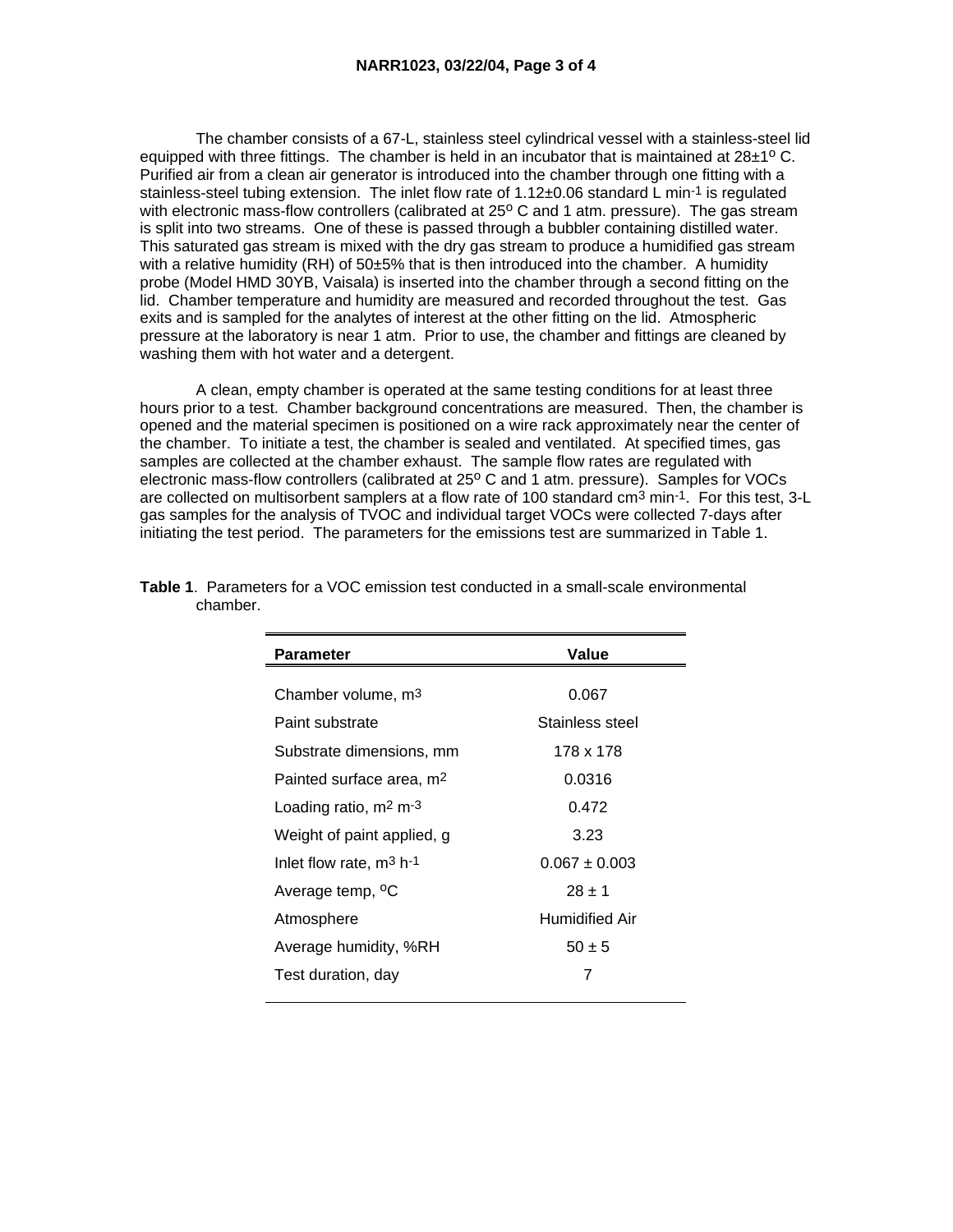The chamber consists of a 67-L, stainless steel cylindrical vessel with a stainless-steel lid equipped with three fittings. The chamber is held in an incubator that is maintained at  $28\pm1^{\circ}$  C. Purified air from a clean air generator is introduced into the chamber through one fitting with a stainless-steel tubing extension. The inlet flow rate of  $1.12\pm0.06$  standard L min<sup>-1</sup> is regulated with electronic mass-flow controllers (calibrated at 25° C and 1 atm. pressure). The gas stream is split into two streams. One of these is passed through a bubbler containing distilled water. This saturated gas stream is mixed with the dry gas stream to produce a humidified gas stream with a relative humidity (RH) of 50±5% that is then introduced into the chamber. A humidity probe (Model HMD 30YB, Vaisala) is inserted into the chamber through a second fitting on the lid. Chamber temperature and humidity are measured and recorded throughout the test. Gas exits and is sampled for the analytes of interest at the other fitting on the lid. Atmospheric pressure at the laboratory is near 1 atm. Prior to use, the chamber and fittings are cleaned by washing them with hot water and a detergent.

 A clean, empty chamber is operated at the same testing conditions for at least three hours prior to a test. Chamber background concentrations are measured. Then, the chamber is opened and the material specimen is positioned on a wire rack approximately near the center of the chamber. To initiate a test, the chamber is sealed and ventilated. At specified times, gas samples are collected at the chamber exhaust. The sample flow rates are regulated with electronic mass-flow controllers (calibrated at 25° C and 1 atm. pressure). Samples for VOCs are collected on multisorbent samplers at a flow rate of 100 standard cm<sup>3</sup> min-1. For this test, 3-L gas samples for the analysis of TVOC and individual target VOCs were collected 7-days after initiating the test period. The parameters for the emissions test are summarized in Table 1.

| Value                 |
|-----------------------|
| 0.067                 |
| Stainless steel       |
|                       |
| 178 x 178             |
| 0.0316                |
| 0.472                 |
| 3.23                  |
| $0.067 \pm 0.003$     |
| $28 \pm 1$            |
| <b>Humidified Air</b> |
| $50 \pm 5$            |
| 7                     |
|                       |

| <b>Table 1</b> . Parameters for a VOC emission test conducted in a small-scale environmental |
|----------------------------------------------------------------------------------------------|
| chamber.                                                                                     |